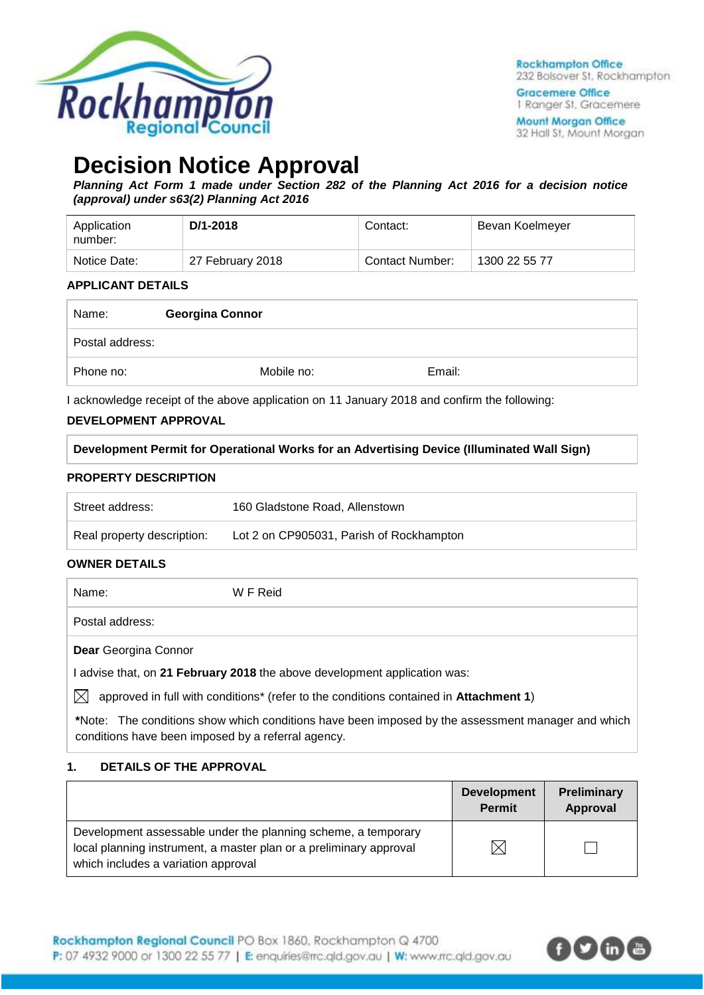

**Rockhampton Office** 232 Bolsover St. Rockhampton

**Gracemere Office** 1 Ranger St, Gracemere

**Mount Morgan Office** 32 Hall St, Mount Morgan

# **Decision Notice Approval**

*Planning Act Form 1 made under Section 282 of the Planning Act 2016 for a decision notice (approval) under s63(2) Planning Act 2016*

| Application<br>number: | D/1-2018         | Contact:               | Bevan Koelmeyer |
|------------------------|------------------|------------------------|-----------------|
| Notice Date:           | 27 February 2018 | <b>Contact Number:</b> | 1300 22 55 77   |

#### **APPLICANT DETAILS**

| Name:           | <b>Georgina Connor</b> |        |  |
|-----------------|------------------------|--------|--|
| Postal address: |                        |        |  |
| Phone no:       | Mobile no:             | Email: |  |

I acknowledge receipt of the above application on 11 January 2018 and confirm the following:

#### **DEVELOPMENT APPROVAL**

**Development Permit for Operational Works for an Advertising Device (Illuminated Wall Sign)**

#### **PROPERTY DESCRIPTION**

| Street address:            | 160 Gladstone Road, Allenstown           |
|----------------------------|------------------------------------------|
| Real property description: | Lot 2 on CP905031, Parish of Rockhampton |

#### **OWNER DETAILS**

Name: W F Reid

Postal address:

**Dear** Georgina Connor

I advise that, on **21 February 2018** the above development application was:

 $\boxtimes$  approved in full with conditions<sup>\*</sup> (refer to the conditions contained in **Attachment 1**)

**\***Note:The conditions show which conditions have been imposed by the assessment manager and which conditions have been imposed by a referral agency.

#### **1. DETAILS OF THE APPROVAL**

|                                                                                                                                                                            | <b>Development</b><br><b>Permit</b> | <b>Preliminary</b><br>Approval |
|----------------------------------------------------------------------------------------------------------------------------------------------------------------------------|-------------------------------------|--------------------------------|
| Development assessable under the planning scheme, a temporary<br>local planning instrument, a master plan or a preliminary approval<br>which includes a variation approval | $\boxtimes$                         |                                |

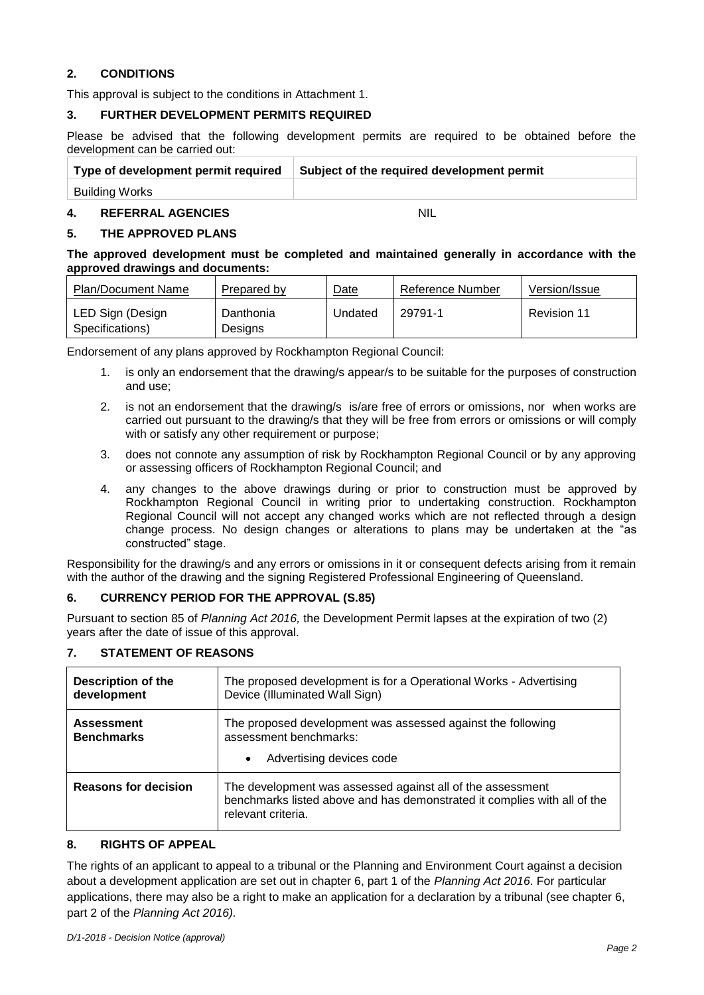#### **2. CONDITIONS**

This approval is subject to the conditions in Attachment 1.

#### **3. FURTHER DEVELOPMENT PERMITS REQUIRED**

Please be advised that the following development permits are required to be obtained before the development can be carried out:

| Type of development permit required   Subject of the required development permit |
|----------------------------------------------------------------------------------|
|                                                                                  |

Building Works

#### **4. REFERRAL AGENCIES** NIL

#### **5. THE APPROVED PLANS**

**The approved development must be completed and maintained generally in accordance with the approved drawings and documents:**

| Plan/Document Name                  | Prepared by          | Date    | Reference Number | Version/Issue |
|-------------------------------------|----------------------|---------|------------------|---------------|
| LED Sign (Design<br>Specifications) | Danthonia<br>Designs | Undated | 29791-1          | Revision 11   |

Endorsement of any plans approved by Rockhampton Regional Council:

- 1. is only an endorsement that the drawing/s appear/s to be suitable for the purposes of construction and use;
- 2. is not an endorsement that the drawing/s is/are free of errors or omissions, nor when works are carried out pursuant to the drawing/s that they will be free from errors or omissions or will comply with or satisfy any other requirement or purpose;
- 3. does not connote any assumption of risk by Rockhampton Regional Council or by any approving or assessing officers of Rockhampton Regional Council; and
- 4. any changes to the above drawings during or prior to construction must be approved by Rockhampton Regional Council in writing prior to undertaking construction. Rockhampton Regional Council will not accept any changed works which are not reflected through a design change process. No design changes or alterations to plans may be undertaken at the "as constructed" stage.

Responsibility for the drawing/s and any errors or omissions in it or consequent defects arising from it remain with the author of the drawing and the signing Registered Professional Engineering of Queensland.

#### **6. CURRENCY PERIOD FOR THE APPROVAL (S.85)**

Pursuant to section 85 of *Planning Act 2016,* the Development Permit lapses at the expiration of two (2) years after the date of issue of this approval.

| <b>Description of the</b><br>development | The proposed development is for a Operational Works - Advertising<br>Device (Illuminated Wall Sign)                                                          |
|------------------------------------------|--------------------------------------------------------------------------------------------------------------------------------------------------------------|
| <b>Assessment</b><br><b>Benchmarks</b>   | The proposed development was assessed against the following<br>assessment benchmarks:<br>Advertising devices code<br>$\bullet$                               |
| <b>Reasons for decision</b>              | The development was assessed against all of the assessment<br>benchmarks listed above and has demonstrated it complies with all of the<br>relevant criteria. |

#### **7. STATEMENT OF REASONS**

#### **8. RIGHTS OF APPEAL**

The rights of an applicant to appeal to a tribunal or the Planning and Environment Court against a decision about a development application are set out in chapter 6, part 1 of the *Planning Act 2016*. For particular applications, there may also be a right to make an application for a declaration by a tribunal (see chapter 6, part 2 of the *Planning Act 2016).*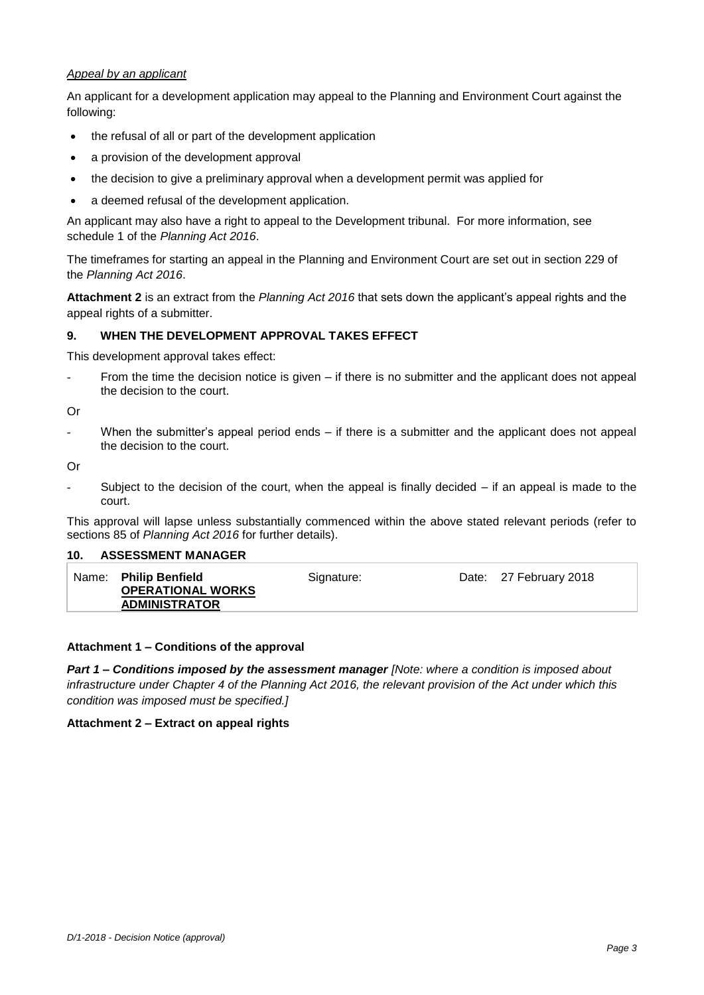#### *Appeal by an applicant*

An applicant for a development application may appeal to the Planning and Environment Court against the following:

- the refusal of all or part of the development application
- a provision of the development approval
- the decision to give a preliminary approval when a development permit was applied for
- a deemed refusal of the development application.

An applicant may also have a right to appeal to the Development tribunal. For more information, see schedule 1 of the *Planning Act 2016*.

The timeframes for starting an appeal in the Planning and Environment Court are set out in section 229 of the *Planning Act 2016*.

**Attachment 2** is an extract from the *Planning Act 2016* that sets down the applicant's appeal rights and the appeal rights of a submitter.

#### **9. WHEN THE DEVELOPMENT APPROVAL TAKES EFFECT**

This development approval takes effect:

From the time the decision notice is given  $-$  if there is no submitter and the applicant does not appeal the decision to the court.

Or

- When the submitter's appeal period ends – if there is a submitter and the applicant does not appeal the decision to the court.

Or

Subject to the decision of the court, when the appeal is finally decided  $-$  if an appeal is made to the court.

This approval will lapse unless substantially commenced within the above stated relevant periods (refer to sections 85 of *Planning Act 2016* for further details).

#### **10. ASSESSMENT MANAGER**

| Name: Philip Benfield<br><b>OPERATIONAL WORKS</b> | Signature: | Date: 27 February 2018 |
|---------------------------------------------------|------------|------------------------|
| <b>ADMINISTRATOR</b>                              |            |                        |

#### **Attachment 1 – Conditions of the approval**

*Part 1* **–** *Conditions imposed by the assessment manager [Note: where a condition is imposed about infrastructure under Chapter 4 of the Planning Act 2016, the relevant provision of the Act under which this condition was imposed must be specified.]*

#### **Attachment 2 – Extract on appeal rights**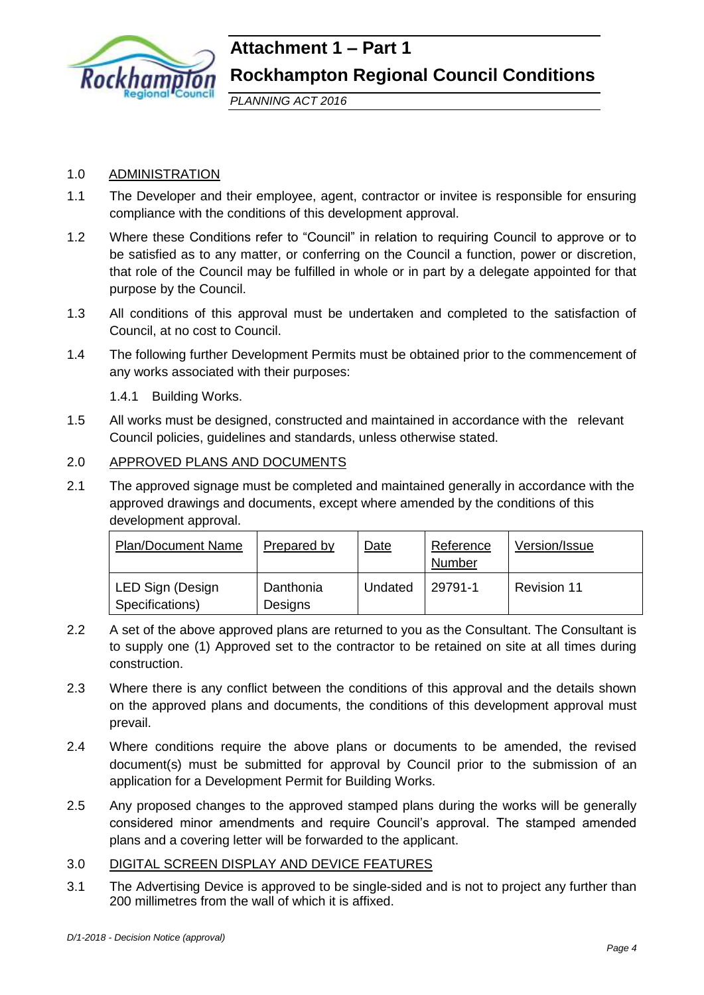

# **Attachment 1 – Part 1 Rockhampton Regional Council Conditions**

*PLANNING ACT 2016*

#### 1.0 ADMINISTRATION

- 1.1 The Developer and their employee, agent, contractor or invitee is responsible for ensuring compliance with the conditions of this development approval.
- 1.2 Where these Conditions refer to "Council" in relation to requiring Council to approve or to be satisfied as to any matter, or conferring on the Council a function, power or discretion, that role of the Council may be fulfilled in whole or in part by a delegate appointed for that purpose by the Council.
- 1.3 All conditions of this approval must be undertaken and completed to the satisfaction of Council, at no cost to Council.
- 1.4 The following further Development Permits must be obtained prior to the commencement of any works associated with their purposes:

1.4.1 Building Works.

1.5 All works must be designed, constructed and maintained in accordance with the relevant Council policies, guidelines and standards, unless otherwise stated.

#### 2.0 APPROVED PLANS AND DOCUMENTS

2.1 The approved signage must be completed and maintained generally in accordance with the approved drawings and documents, except where amended by the conditions of this development approval.

| <b>Plan/Document Name</b>           | Prepared by          | Date    | Reference<br>Number | Version/Issue |
|-------------------------------------|----------------------|---------|---------------------|---------------|
| LED Sign (Design<br>Specifications) | Danthonia<br>Designs | Undated | 29791-1             | Revision 11   |

- 2.2 A set of the above approved plans are returned to you as the Consultant. The Consultant is to supply one (1) Approved set to the contractor to be retained on site at all times during construction.
- 2.3 Where there is any conflict between the conditions of this approval and the details shown on the approved plans and documents, the conditions of this development approval must prevail.
- 2.4 Where conditions require the above plans or documents to be amended, the revised document(s) must be submitted for approval by Council prior to the submission of an application for a Development Permit for Building Works.
- 2.5 Any proposed changes to the approved stamped plans during the works will be generally considered minor amendments and require Council's approval. The stamped amended plans and a covering letter will be forwarded to the applicant.

### 3.0 DIGITAL SCREEN DISPLAY AND DEVICE FEATURES

3.1 The Advertising Device is approved to be single-sided and is not to project any further than 200 millimetres from the wall of which it is affixed.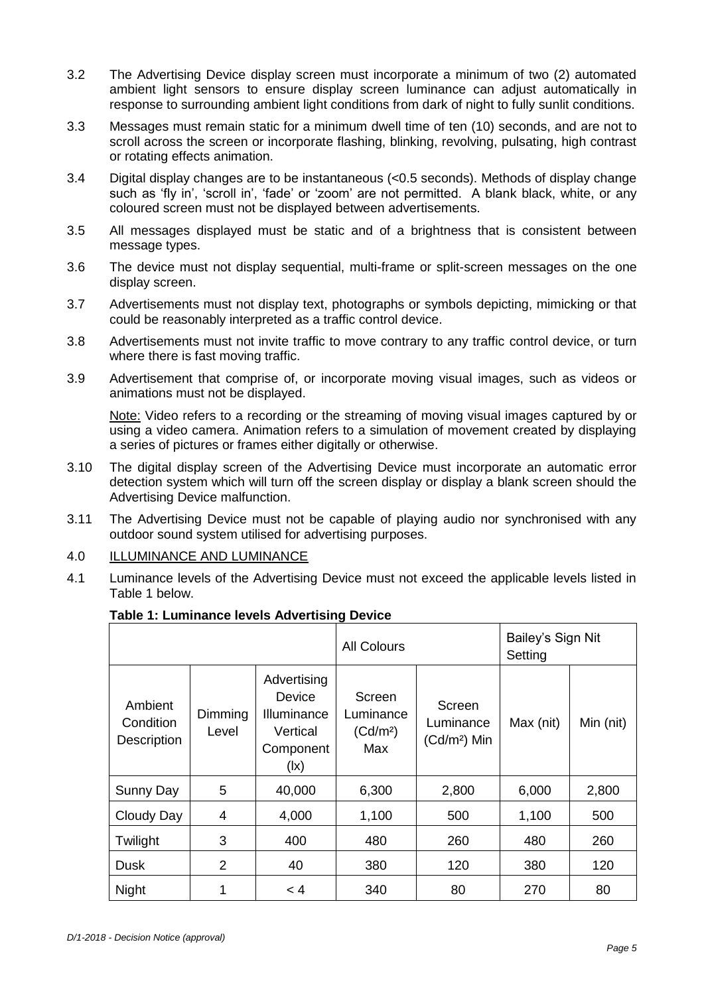- 3.2 The Advertising Device display screen must incorporate a minimum of two (2) automated ambient light sensors to ensure display screen luminance can adjust automatically in response to surrounding ambient light conditions from dark of night to fully sunlit conditions.
- 3.3 Messages must remain static for a minimum dwell time of ten (10) seconds, and are not to scroll across the screen or incorporate flashing, blinking, revolving, pulsating, high contrast or rotating effects animation.
- 3.4 Digital display changes are to be instantaneous (<0.5 seconds). Methods of display change such as 'fly in', 'scroll in', 'fade' or 'zoom' are not permitted. A blank black, white, or any coloured screen must not be displayed between advertisements.
- 3.5 All messages displayed must be static and of a brightness that is consistent between message types.
- 3.6 The device must not display sequential, multi-frame or split-screen messages on the one display screen.
- 3.7 Advertisements must not display text, photographs or symbols depicting, mimicking or that could be reasonably interpreted as a traffic control device.
- 3.8 Advertisements must not invite traffic to move contrary to any traffic control device, or turn where there is fast moving traffic.
- 3.9 Advertisement that comprise of, or incorporate moving visual images, such as videos or animations must not be displayed.

Note: Video refers to a recording or the streaming of moving visual images captured by or using a video camera. Animation refers to a simulation of movement created by displaying a series of pictures or frames either digitally or otherwise.

- 3.10 The digital display screen of the Advertising Device must incorporate an automatic error detection system which will turn off the screen display or display a blank screen should the Advertising Device malfunction.
- 3.11 The Advertising Device must not be capable of playing audio nor synchronised with any outdoor sound system utilised for advertising purposes.

#### 4.0 ILLUMINANCE AND LUMINANCE

4.1 Luminance levels of the Advertising Device must not exceed the applicable levels listed in Table 1 below.

|                                            |                  | <b>All Colours</b>                                                                        |                                                    | Bailey's Sign Nit<br>Setting         |           |           |
|--------------------------------------------|------------------|-------------------------------------------------------------------------------------------|----------------------------------------------------|--------------------------------------|-----------|-----------|
| Ambient<br>Condition<br><b>Description</b> | Dimming<br>Level | Advertising<br>Device<br>Illuminance<br>Vertical<br>Component<br>$(\mathsf{I}\mathsf{x})$ | Screen<br>Luminance<br>(Cd/m <sup>2</sup> )<br>Max | Screen<br>Luminance<br>$(Cd/m2)$ Min | Max (nit) | Min (nit) |
| Sunny Day                                  | 5                | 40,000                                                                                    | 6,300                                              | 2,800                                | 6,000     | 2,800     |
| Cloudy Day                                 | 4                | 4,000                                                                                     | 1,100                                              | 500                                  | 1,100     | 500       |
| Twilight                                   | 3                | 400                                                                                       | 480                                                | 260                                  | 480       | 260       |
| Dusk                                       | 2                | 40                                                                                        | 380                                                | 120                                  | 380       | 120       |
| <b>Night</b>                               |                  | $\leq 4$                                                                                  | 340                                                | 80                                   | 270       | 80        |

#### **Table 1: Luminance levels Advertising Device**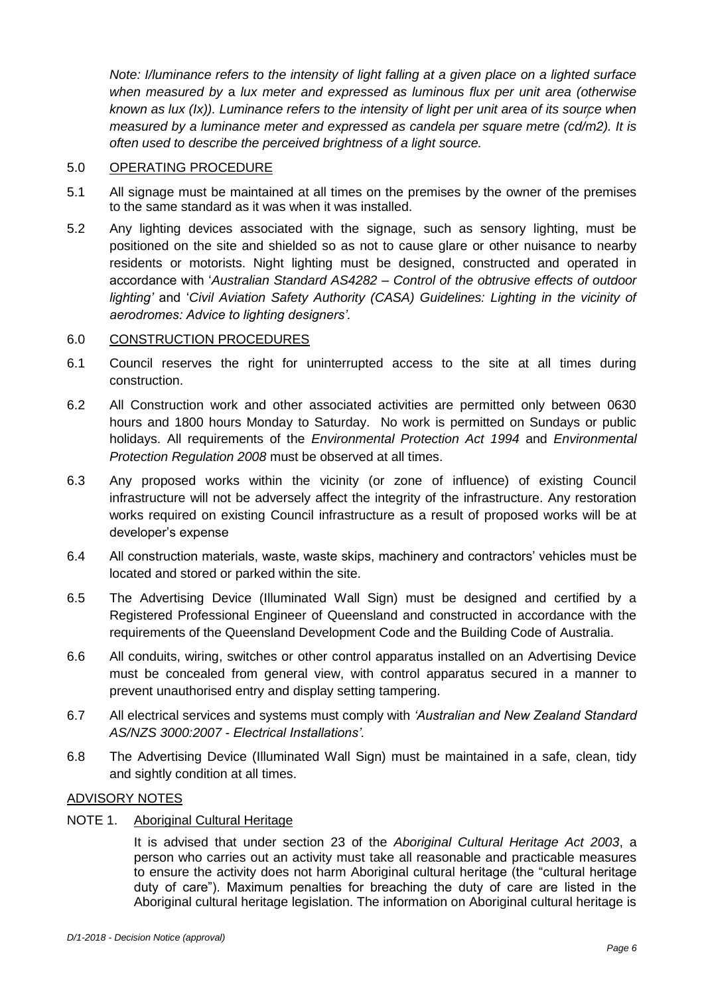*) known as lux (Ix)). Luminance refers to the intensity of light per unit area of its source when Note: I/luminance refers to the intensity of light falling at a given place on a lighted surface when measured by* a *lux meter and expressed as luminous flux per unit area (otherwise measured by a luminance meter and expressed as candela per square metre (cd/m2). It is often used to describe the perceived brightness of a light source.*

#### 5.0 OPERATING PROCEDURE

- 5.1 All signage must be maintained at all times on the premises by the owner of the premises to the same standard as it was when it was installed.
- 5.2 Any lighting devices associated with the signage, such as sensory lighting, must be positioned on the site and shielded so as not to cause glare or other nuisance to nearby residents or motorists. Night lighting must be designed, constructed and operated in accordance with '*Australian Standard AS4282 – Control of the obtrusive effects of outdoor lighting'* and '*Civil Aviation Safety Authority (CASA) Guidelines: Lighting in the vicinity of aerodromes: Advice to lighting designers'.*

#### 6.0 CONSTRUCTION PROCEDURES

- 6.1 Council reserves the right for uninterrupted access to the site at all times during construction.
- 6.2 All Construction work and other associated activities are permitted only between 0630 hours and 1800 hours Monday to Saturday. No work is permitted on Sundays or public holidays. All requirements of the *Environmental Protection Act 1994* and *Environmental Protection Regulation 2008* must be observed at all times.
- 6.3 Any proposed works within the vicinity (or zone of influence) of existing Council infrastructure will not be adversely affect the integrity of the infrastructure. Any restoration works required on existing Council infrastructure as a result of proposed works will be at developer's expense
- 6.4 All construction materials, waste, waste skips, machinery and contractors' vehicles must be located and stored or parked within the site.
- 6.5 The Advertising Device (Illuminated Wall Sign) must be designed and certified by a Registered Professional Engineer of Queensland and constructed in accordance with the requirements of the Queensland Development Code and the Building Code of Australia.
- 6.6 All conduits, wiring, switches or other control apparatus installed on an Advertising Device must be concealed from general view, with control apparatus secured in a manner to prevent unauthorised entry and display setting tampering.
- 6.7 All electrical services and systems must comply with *'Australian and New Zealand Standard AS/NZS 3000:2007 - Electrical Installations'.*
- 6.8 The Advertising Device (Illuminated Wall Sign) must be maintained in a safe, clean, tidy and sightly condition at all times.

#### ADVISORY NOTES

NOTE 1. Aboriginal Cultural Heritage

It is advised that under section 23 of the *Aboriginal Cultural Heritage Act 2003*, a person who carries out an activity must take all reasonable and practicable measures to ensure the activity does not harm Aboriginal cultural heritage (the "cultural heritage duty of care"). Maximum penalties for breaching the duty of care are listed in the Aboriginal cultural heritage legislation. The information on Aboriginal cultural heritage is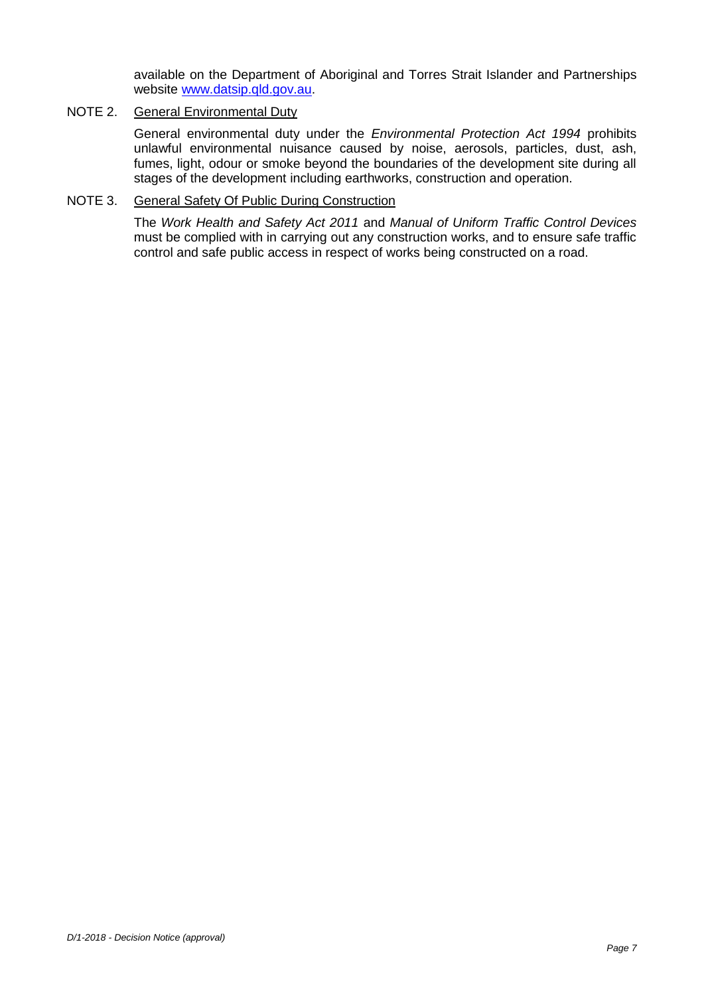available on the Department of Aboriginal and Torres Strait Islander and Partnerships website [www.datsip.qld.gov.au.](http://www.datsip.qld.gov.au/)

#### NOTE 2. General Environmental Duty

General environmental duty under the *Environmental Protection Act 1994* prohibits unlawful environmental nuisance caused by noise, aerosols, particles, dust, ash, fumes, light, odour or smoke beyond the boundaries of the development site during all stages of the development including earthworks, construction and operation.

#### NOTE 3. General Safety Of Public During Construction

The *Work Health and Safety Act 2011* and *Manual of Uniform Traffic Control Devices* must be complied with in carrying out any construction works, and to ensure safe traffic control and safe public access in respect of works being constructed on a road.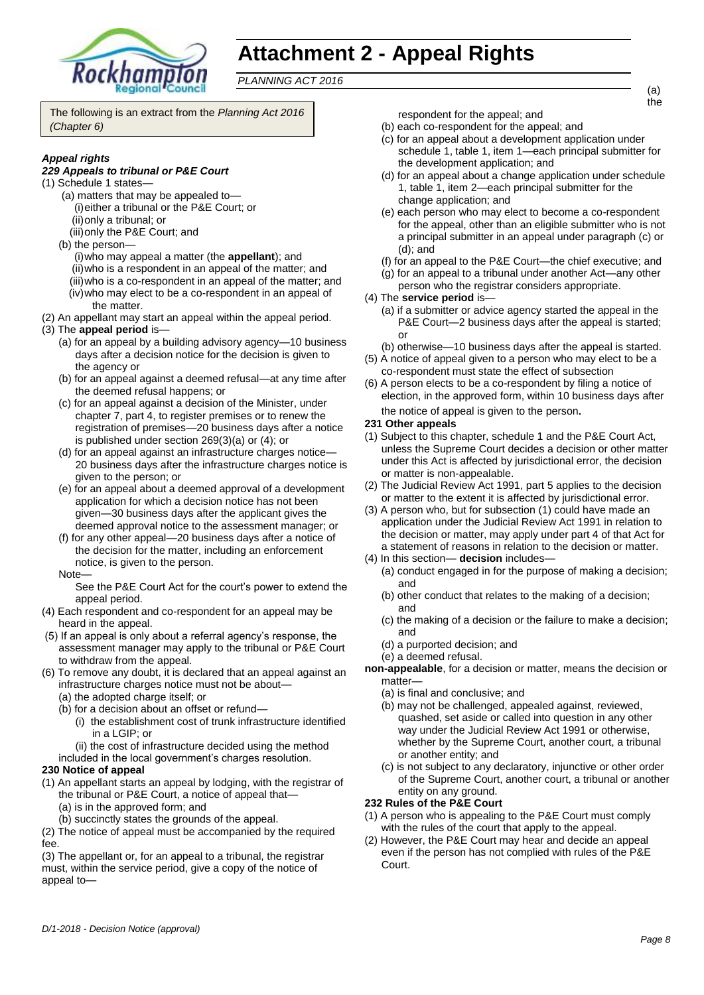

# **Attachment 2 - Appeal Rights**

*PLANNING ACT 2016*

The following is an extract from the *Planning Act 2016 (Chapter 6)*

#### *Appeal rights*

#### *229 Appeals to tribunal or P&E Court*

- (1) Schedule 1 states—
	- (a) matters that may be appealed to— (i)either a tribunal or the P&E Court; or (ii)only a tribunal; or
	- (iii)only the P&E Court; and
	- (b) the person—
	- (i)who may appeal a matter (the **appellant**); and
	- (ii)who is a respondent in an appeal of the matter; and (iii)who is a co-respondent in an appeal of the matter; and
	- (iv)who may elect to be a co-respondent in an appeal of the matter.
- (2) An appellant may start an appeal within the appeal period.
- (3) The **appeal period** is—
	- (a) for an appeal by a building advisory agency—10 business days after a decision notice for the decision is given to the agency or
	- (b) for an appeal against a deemed refusal—at any time after the deemed refusal happens; or
	- (c) for an appeal against a decision of the Minister, under chapter 7, part 4, to register premises or to renew the registration of premises—20 business days after a notice is published under section 269(3)(a) or (4); or
	- (d) for an appeal against an infrastructure charges notice— 20 business days after the infrastructure charges notice is given to the person; or
	- (e) for an appeal about a deemed approval of a development application for which a decision notice has not been given—30 business days after the applicant gives the deemed approval notice to the assessment manager; or
	- (f) for any other appeal—20 business days after a notice of the decision for the matter, including an enforcement notice, is given to the person.

Note—

See the P&E Court Act for the court's power to extend the appeal period.

- (4) Each respondent and co-respondent for an appeal may be heard in the appeal.
- (5) If an appeal is only about a referral agency's response, the assessment manager may apply to the tribunal or P&E Court to withdraw from the appeal.
- (6) To remove any doubt, it is declared that an appeal against an infrastructure charges notice must not be about—
	- (a) the adopted charge itself; or
	- (b) for a decision about an offset or refund— (i) the establishment cost of trunk infrastructure identified
		- in a LGIP; or
		- (ii) the cost of infrastructure decided using the method
	- included in the local government's charges resolution.

#### **230 Notice of appeal**

- (1) An appellant starts an appeal by lodging, with the registrar of the tribunal or P&E Court, a notice of appeal that—
	- (a) is in the approved form; and
	- (b) succinctly states the grounds of the appeal.

(2) The notice of appeal must be accompanied by the required fee.

(3) The appellant or, for an appeal to a tribunal, the registrar must, within the service period, give a copy of the notice of appeal torespondent for the appeal; and

- (b) each co-respondent for the appeal; and
- (c) for an appeal about a development application under schedule 1, table 1, item 1—each principal submitter for the development application; and
- (d) for an appeal about a change application under schedule 1, table 1, item 2—each principal submitter for the change application; and
- (e) each person who may elect to become a co-respondent for the appeal, other than an eligible submitter who is not a principal submitter in an appeal under paragraph (c) or (d); and
- (f) for an appeal to the P&E Court—the chief executive; and
- (g) for an appeal to a tribunal under another Act—any other person who the registrar considers appropriate.
- (4) The **service period** is—
	- (a) if a submitter or advice agency started the appeal in the P&E Court-2 business days after the appeal is started; or
	- (b) otherwise—10 business days after the appeal is started.
- (5) A notice of appeal given to a person who may elect to be a co-respondent must state the effect of subsection
- (6) A person elects to be a co-respondent by filing a notice of election, in the approved form, within 10 business days after the notice of appeal is given to the person*.*

#### **231 Other appeals**

- (1) Subject to this chapter, schedule 1 and the P&E Court Act, unless the Supreme Court decides a decision or other matter under this Act is affected by jurisdictional error, the decision or matter is non-appealable.
- (2) The Judicial Review Act 1991, part 5 applies to the decision or matter to the extent it is affected by jurisdictional error.
- (3) A person who, but for subsection (1) could have made an application under the Judicial Review Act 1991 in relation to the decision or matter, may apply under part 4 of that Act for a statement of reasons in relation to the decision or matter.
- (4) In this section— **decision** includes—
	- (a) conduct engaged in for the purpose of making a decision; and
		- (b) other conduct that relates to the making of a decision; and
		- (c) the making of a decision or the failure to make a decision; and
		- (d) a purported decision; and
	- (e) a deemed refusal.
- **non-appealable**, for a decision or matter, means the decision or matter—
	- (a) is final and conclusive; and
	- (b) may not be challenged, appealed against, reviewed, quashed, set aside or called into question in any other way under the Judicial Review Act 1991 or otherwise, whether by the Supreme Court, another court, a tribunal or another entity; and
	- (c) is not subject to any declaratory, injunctive or other order of the Supreme Court, another court, a tribunal or another entity on any ground.

#### **232 Rules of the P&E Court**

- (1) A person who is appealing to the P&E Court must comply with the rules of the court that apply to the appeal.
- (2) However, the P&E Court may hear and decide an appeal even if the person has not complied with rules of the P&E Court.

(a) the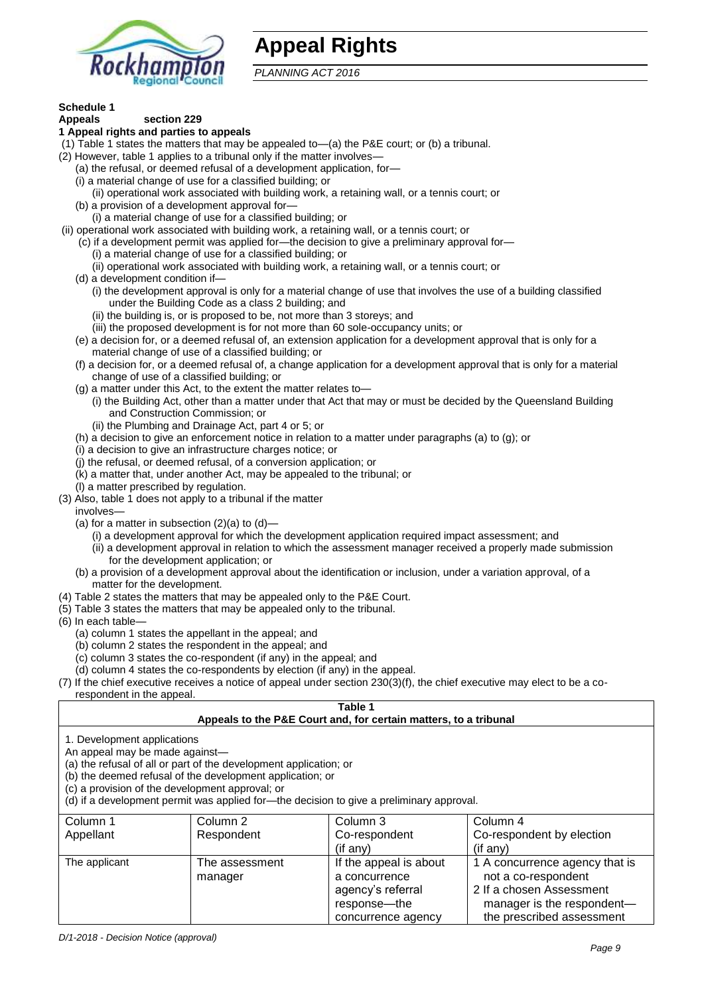

## **Appeal Rights**

*PLANNING ACT 2016*

### **Schedule 1**

#### **Appeals section 229 1 Appeal rights and parties to appeals**

- (1) Table 1 states the matters that may be appealed to—(a) the P&E court; or (b) a tribunal.
- (2) However, table 1 applies to a tribunal only if the matter involves-
	- (a) the refusal, or deemed refusal of a development application, for—
	- (i) a material change of use for a classified building; or
	- (ii) operational work associated with building work, a retaining wall, or a tennis court; or
	- (b) a provision of a development approval for—
	- (i) a material change of use for a classified building; or
- (ii) operational work associated with building work, a retaining wall, or a tennis court; or
	- (c) if a development permit was applied for—the decision to give a preliminary approval for—
		- (i) a material change of use for a classified building; or
		- (ii) operational work associated with building work, a retaining wall, or a tennis court; or
	- (d) a development condition if—
		- (i) the development approval is only for a material change of use that involves the use of a building classified under the Building Code as a class 2 building; and
		- (ii) the building is, or is proposed to be, not more than 3 storeys; and
		- (iii) the proposed development is for not more than 60 sole-occupancy units; or
	- (e) a decision for, or a deemed refusal of, an extension application for a development approval that is only for a material change of use of a classified building; or
	- (f) a decision for, or a deemed refusal of, a change application for a development approval that is only for a material change of use of a classified building; or
	- (g) a matter under this Act, to the extent the matter relates to—
		- (i) the Building Act, other than a matter under that Act that may or must be decided by the Queensland Building and Construction Commission; or
		- (ii) the Plumbing and Drainage Act, part 4 or 5; or
	- (h) a decision to give an enforcement notice in relation to a matter under paragraphs (a) to (g); or
	- (i) a decision to give an infrastructure charges notice; or
	- (j) the refusal, or deemed refusal, of a conversion application; or
	- (k) a matter that, under another Act, may be appealed to the tribunal; or
	- (l) a matter prescribed by regulation.
- (3) Also, table 1 does not apply to a tribunal if the matter
- involves—
	- (a) for a matter in subsection  $(2)(a)$  to  $(d)$ -
		- (i) a development approval for which the development application required impact assessment; and
		- (ii) a development approval in relation to which the assessment manager received a properly made submission for the development application; or
	- (b) a provision of a development approval about the identification or inclusion, under a variation approval, of a matter for the development.
- (4) Table 2 states the matters that may be appealed only to the P&E Court.
- (5) Table 3 states the matters that may be appealed only to the tribunal.
- (6) In each table—
	- (a) column 1 states the appellant in the appeal; and
	- (b) column 2 states the respondent in the appeal; and
	- (c) column 3 states the co-respondent (if any) in the appeal; and
- (d) column 4 states the co-respondents by election (if any) in the appeal.
- (7) If the chief executive receives a notice of appeal under section 230(3)(f), the chief executive may elect to be a corespondent in the appeal.

#### **Table 1 Appeals to the P&E Court and, for certain matters, to a tribunal**

1. Development applications

An appeal may be made against—

(a) the refusal of all or part of the development application; or

(b) the deemed refusal of the development application; or

(c) a provision of the development approval; or

(d) if a development permit was applied for—the decision to give a preliminary approval.

| Column 1      | Column 2                  | Column 3                                                                                           | Column 4                                                                                                                                     |
|---------------|---------------------------|----------------------------------------------------------------------------------------------------|----------------------------------------------------------------------------------------------------------------------------------------------|
| Appellant     | Respondent                | Co-respondent                                                                                      | Co-respondent by election                                                                                                                    |
|               |                           | $($ if any $)$                                                                                     | $($ if any $)$                                                                                                                               |
| The applicant | The assessment<br>manager | If the appeal is about<br>a concurrence<br>agency's referral<br>response—the<br>concurrence agency | 1 A concurrence agency that is<br>not a co-respondent<br>2 If a chosen Assessment<br>manager is the respondent-<br>the prescribed assessment |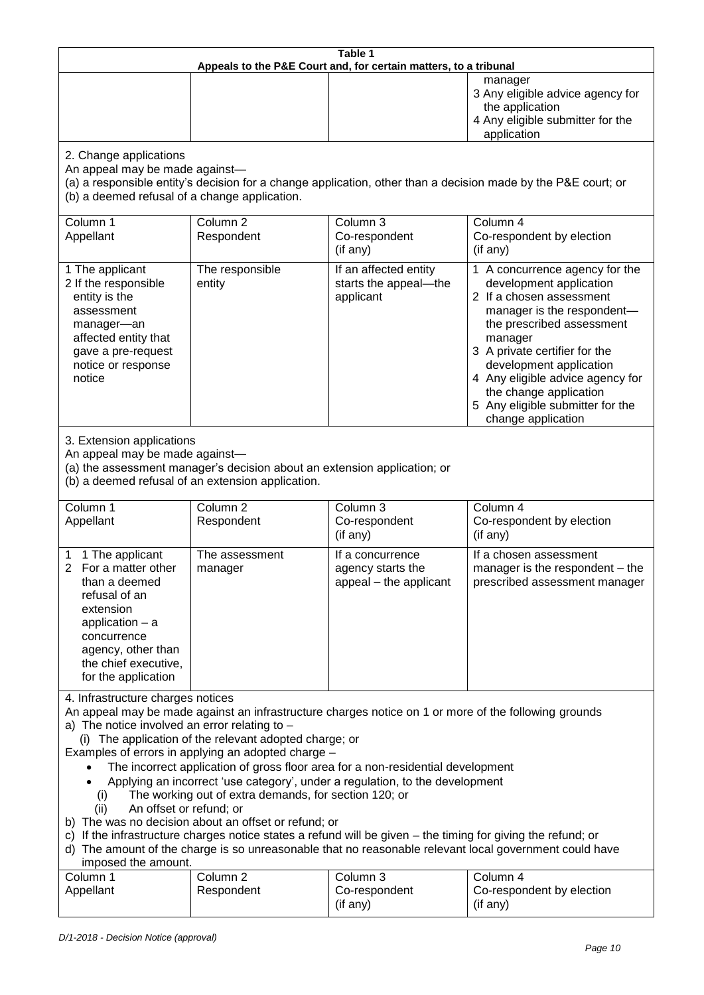| Table 1 |                                                                  |                                                                                                                   |  |  |
|---------|------------------------------------------------------------------|-------------------------------------------------------------------------------------------------------------------|--|--|
|         | Appeals to the P&E Court and, for certain matters, to a tribunal |                                                                                                                   |  |  |
|         |                                                                  | manager<br>3 Any eligible advice agency for<br>the application<br>4 Any eligible submitter for the<br>application |  |  |
|         |                                                                  |                                                                                                                   |  |  |

2. Change applications

An appeal may be made against—

(a) a responsible entity's decision for a change application, other than a decision made by the P&E court; or (b) a deemed refusal of a change application.

| Column 1<br>Appellant                                                                                                                                              | Column 2<br>Respondent    | Column 3<br>Co-respondent<br>(if any)                       | Column 4<br>Co-respondent by election<br>(if any)                                                                                                                                                                                                                                                                                               |
|--------------------------------------------------------------------------------------------------------------------------------------------------------------------|---------------------------|-------------------------------------------------------------|-------------------------------------------------------------------------------------------------------------------------------------------------------------------------------------------------------------------------------------------------------------------------------------------------------------------------------------------------|
| 1 The applicant<br>2 If the responsible<br>entity is the<br>assessment<br>manager-an<br>affected entity that<br>gave a pre-request<br>notice or response<br>notice | The responsible<br>entity | If an affected entity<br>starts the appeal-the<br>applicant | 1 A concurrence agency for the<br>development application<br>2 If a chosen assessment<br>manager is the respondent-<br>the prescribed assessment<br>manager<br>3 A private certifier for the<br>development application<br>4 Any eligible advice agency for<br>the change application<br>5 Any eligible submitter for the<br>change application |

3. Extension applications

An appeal may be made against—

(a) the assessment manager's decision about an extension application; or

(b) a deemed refusal of an extension application.

| Column 1<br>Appellant |                                                                                                                                                                                                 | Column 2<br>Respondent    | Column 3<br>Co-respondent<br>(if any)                           | Column 4<br>Co-respondent by election<br>(i f an y)                                        |
|-----------------------|-------------------------------------------------------------------------------------------------------------------------------------------------------------------------------------------------|---------------------------|-----------------------------------------------------------------|--------------------------------------------------------------------------------------------|
|                       | 1 1 The applicant<br>For a matter other<br>than a deemed<br>refusal of an<br>extension<br>application $-$ a<br>concurrence<br>agency, other than<br>the chief executive,<br>for the application | The assessment<br>manager | If a concurrence<br>agency starts the<br>appeal - the applicant | If a chosen assessment<br>manager is the respondent – the<br>prescribed assessment manager |

4. Infrastructure charges notices

An appeal may be made against an infrastructure charges notice on 1 or more of the following grounds a) The notice involved an error relating to –

(i) The application of the relevant adopted charge; or

Examples of errors in applying an adopted charge –

The incorrect application of gross floor area for a non-residential development

- Applying an incorrect 'use category', under a regulation, to the development
	- (i) The working out of extra demands, for section 120; or
- (ii) An offset or refund; or
- b) The was no decision about an offset or refund; or

c) If the infrastructure charges notice states a refund will be given – the timing for giving the refund; or

#### d) The amount of the charge is so unreasonable that no reasonable relevant local government could have imposed the amount.

| Column 1  | Column 2   | Column 3                  | Column 4                              |
|-----------|------------|---------------------------|---------------------------------------|
| Appellant | Respondent | Co-respondent<br>(if any) | Co-respondent by election<br>(if any) |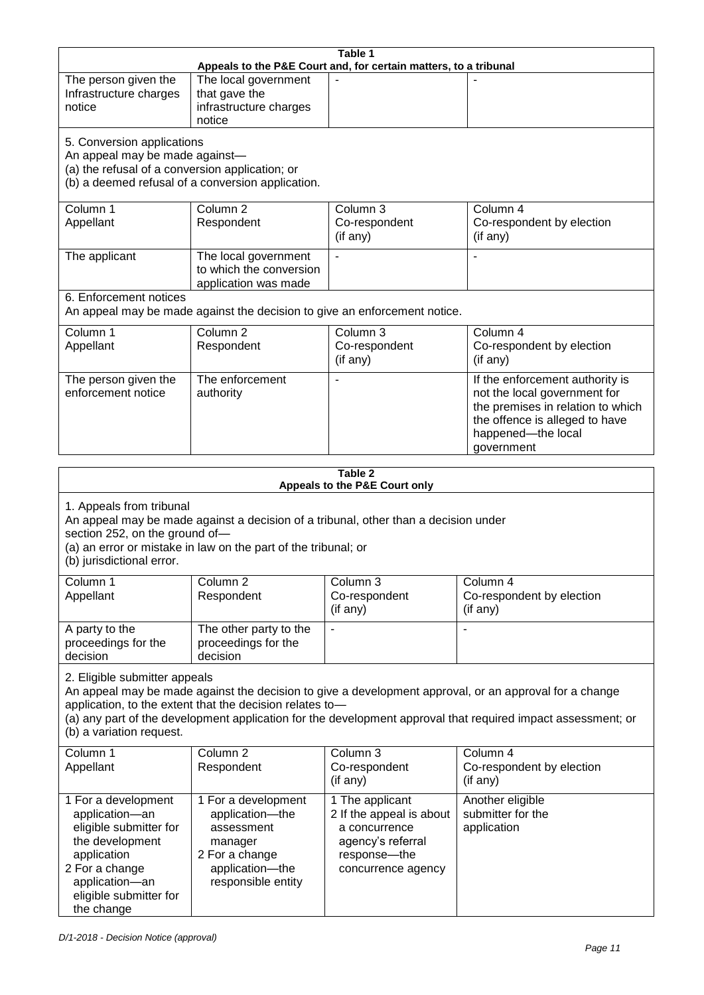| Table 1<br>Appeals to the P&E Court and, for certain matters, to a tribunal |                                                                |                                                                                     |                                                                                                              |  |
|-----------------------------------------------------------------------------|----------------------------------------------------------------|-------------------------------------------------------------------------------------|--------------------------------------------------------------------------------------------------------------|--|
| The person given the                                                        | The local government                                           |                                                                                     |                                                                                                              |  |
| Infrastructure charges                                                      | that gave the                                                  |                                                                                     |                                                                                                              |  |
| notice                                                                      | infrastructure charges                                         |                                                                                     |                                                                                                              |  |
|                                                                             | notice                                                         |                                                                                     |                                                                                                              |  |
| 5. Conversion applications                                                  |                                                                |                                                                                     |                                                                                                              |  |
| An appeal may be made against-                                              |                                                                |                                                                                     |                                                                                                              |  |
| (a) the refusal of a conversion application; or                             |                                                                |                                                                                     |                                                                                                              |  |
|                                                                             | (b) a deemed refusal of a conversion application.              |                                                                                     |                                                                                                              |  |
| Column <sub>1</sub>                                                         | Column <sub>2</sub>                                            | Column 3                                                                            | Column 4                                                                                                     |  |
| Appellant                                                                   | Respondent                                                     | Co-respondent                                                                       | Co-respondent by election                                                                                    |  |
|                                                                             |                                                                | (if any)                                                                            | (if any)                                                                                                     |  |
| The applicant                                                               | The local government                                           |                                                                                     |                                                                                                              |  |
|                                                                             | to which the conversion                                        |                                                                                     |                                                                                                              |  |
|                                                                             | application was made                                           |                                                                                     |                                                                                                              |  |
| 6. Enforcement notices                                                      |                                                                |                                                                                     |                                                                                                              |  |
|                                                                             |                                                                | An appeal may be made against the decision to give an enforcement notice.           |                                                                                                              |  |
| Column 1                                                                    | Column <sub>2</sub>                                            | Column 3                                                                            | Column 4                                                                                                     |  |
| Appellant                                                                   | Respondent                                                     | Co-respondent<br>(if any)                                                           | Co-respondent by election                                                                                    |  |
|                                                                             |                                                                |                                                                                     | (if any)                                                                                                     |  |
| The person given the<br>enforcement notice                                  | The enforcement                                                |                                                                                     | If the enforcement authority is                                                                              |  |
|                                                                             | authority                                                      |                                                                                     | not the local government for<br>the premises in relation to which                                            |  |
|                                                                             |                                                                |                                                                                     | the offence is alleged to have                                                                               |  |
|                                                                             |                                                                |                                                                                     | happened-the local                                                                                           |  |
|                                                                             |                                                                |                                                                                     | government                                                                                                   |  |
|                                                                             |                                                                | Table 2                                                                             |                                                                                                              |  |
|                                                                             |                                                                | Appeals to the P&E Court only                                                       |                                                                                                              |  |
| 1. Appeals from tribunal                                                    |                                                                |                                                                                     |                                                                                                              |  |
|                                                                             |                                                                | An appeal may be made against a decision of a tribunal, other than a decision under |                                                                                                              |  |
| section 252, on the ground of-                                              |                                                                |                                                                                     |                                                                                                              |  |
|                                                                             | (a) an error or mistake in law on the part of the tribunal; or |                                                                                     |                                                                                                              |  |
| (b) jurisdictional error.                                                   |                                                                |                                                                                     |                                                                                                              |  |
| Column 1                                                                    | Column 2                                                       | Column 3                                                                            | Column 4                                                                                                     |  |
| Appellant                                                                   | Respondent                                                     | Co-respondent                                                                       | Co-respondent by election                                                                                    |  |
|                                                                             |                                                                | (if any)                                                                            | (if any)                                                                                                     |  |
| A party to the                                                              | The other party to the                                         |                                                                                     |                                                                                                              |  |
| proceedings for the                                                         | proceedings for the                                            |                                                                                     |                                                                                                              |  |
| decision                                                                    | decision                                                       |                                                                                     |                                                                                                              |  |
| 2. Eligible submitter appeals                                               |                                                                |                                                                                     |                                                                                                              |  |
|                                                                             |                                                                |                                                                                     | An appeal may be made against the decision to give a development approval, or an approval for a change       |  |
|                                                                             | application, to the extent that the decision relates to-       |                                                                                     |                                                                                                              |  |
| (b) a variation request.                                                    |                                                                |                                                                                     | (a) any part of the development application for the development approval that required impact assessment; or |  |
|                                                                             |                                                                |                                                                                     |                                                                                                              |  |
| Column 1                                                                    | Column <sub>2</sub>                                            | Column 3                                                                            | Column 4                                                                                                     |  |
| Appellant                                                                   | Respondent                                                     | Co-respondent<br>(if any)                                                           | Co-respondent by election<br>(if any)                                                                        |  |
|                                                                             |                                                                |                                                                                     |                                                                                                              |  |
| 1 For a development<br>application-an                                       | 1 For a development<br>application-the                         | 1 The applicant<br>2 If the appeal is about                                         | Another eligible<br>submitter for the                                                                        |  |
| eligible submitter for                                                      | assessment                                                     | a concurrence                                                                       | application                                                                                                  |  |
| the development                                                             | manager                                                        | agency's referral                                                                   |                                                                                                              |  |
| application                                                                 | 2 For a change                                                 | response-the                                                                        |                                                                                                              |  |
| 2 For a change                                                              | application-the                                                | concurrence agency                                                                  |                                                                                                              |  |
| application-an                                                              | responsible entity                                             |                                                                                     |                                                                                                              |  |
| eligible submitter for<br>the change                                        |                                                                |                                                                                     |                                                                                                              |  |
|                                                                             |                                                                |                                                                                     |                                                                                                              |  |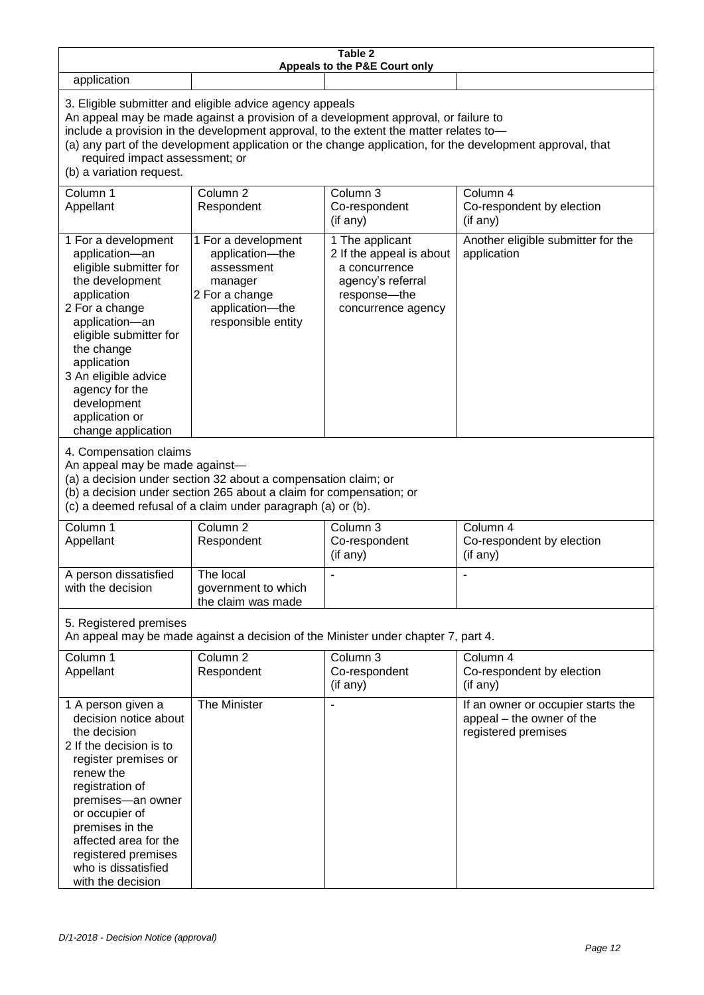| Table 2<br>Appeals to the P&E Court only                                                                                                                                                                                                                                                                                                                                                                           |                                                                                                                            |                                                                                                                         |                                                                                        |  |
|--------------------------------------------------------------------------------------------------------------------------------------------------------------------------------------------------------------------------------------------------------------------------------------------------------------------------------------------------------------------------------------------------------------------|----------------------------------------------------------------------------------------------------------------------------|-------------------------------------------------------------------------------------------------------------------------|----------------------------------------------------------------------------------------|--|
| application                                                                                                                                                                                                                                                                                                                                                                                                        |                                                                                                                            |                                                                                                                         |                                                                                        |  |
| 3. Eligible submitter and eligible advice agency appeals<br>An appeal may be made against a provision of a development approval, or failure to<br>include a provision in the development approval, to the extent the matter relates to-<br>(a) any part of the development application or the change application, for the development approval, that<br>required impact assessment; or<br>(b) a variation request. |                                                                                                                            |                                                                                                                         |                                                                                        |  |
| Column 1<br>Appellant                                                                                                                                                                                                                                                                                                                                                                                              | Column <sub>2</sub><br>Respondent                                                                                          | Column 3<br>Co-respondent<br>(if any)                                                                                   | Column 4<br>Co-respondent by election<br>(if any)                                      |  |
| 1 For a development<br>application-an<br>eligible submitter for<br>the development<br>application<br>2 For a change<br>application-an<br>eligible submitter for<br>the change<br>application<br>3 An eligible advice<br>agency for the<br>development<br>application or<br>change application                                                                                                                      | 1 For a development<br>application-the<br>assessment<br>manager<br>2 For a change<br>application-the<br>responsible entity | 1 The applicant<br>2 If the appeal is about<br>a concurrence<br>agency's referral<br>response-the<br>concurrence agency | Another eligible submitter for the<br>application                                      |  |
| 4. Compensation claims<br>An appeal may be made against-<br>(a) a decision under section 32 about a compensation claim; or<br>(b) a decision under section 265 about a claim for compensation; or<br>(c) a deemed refusal of a claim under paragraph (a) or (b).                                                                                                                                                   |                                                                                                                            |                                                                                                                         |                                                                                        |  |
| Column 1<br>Appellant                                                                                                                                                                                                                                                                                                                                                                                              | Column <sub>2</sub><br>Respondent                                                                                          | Column 3<br>Co-respondent<br>(if any)                                                                                   | Column 4<br>Co-respondent by election<br>(if any)                                      |  |
| A person dissatisfied<br>with the decision                                                                                                                                                                                                                                                                                                                                                                         | The local<br>government to which<br>the claim was made                                                                     |                                                                                                                         |                                                                                        |  |
| 5. Registered premises<br>An appeal may be made against a decision of the Minister under chapter 7, part 4.                                                                                                                                                                                                                                                                                                        |                                                                                                                            |                                                                                                                         |                                                                                        |  |
| Column 1<br>Appellant                                                                                                                                                                                                                                                                                                                                                                                              | Column <sub>2</sub><br>Respondent                                                                                          | Column 3<br>Co-respondent<br>(if any)                                                                                   | Column 4<br>Co-respondent by election<br>(if any)                                      |  |
| 1 A person given a<br>decision notice about<br>the decision<br>2 If the decision is to<br>register premises or<br>renew the<br>registration of<br>premises-an owner<br>or occupier of<br>premises in the<br>affected area for the<br>registered premises<br>who is dissatisfied<br>with the decision                                                                                                               | The Minister                                                                                                               |                                                                                                                         | If an owner or occupier starts the<br>appeal - the owner of the<br>registered premises |  |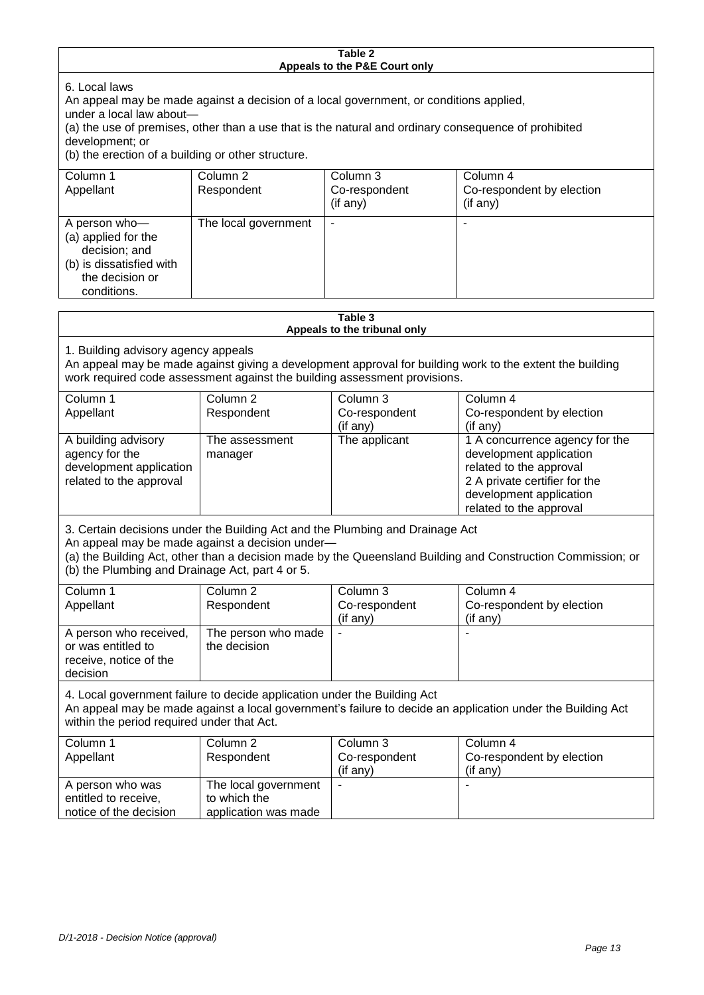|                                                                                                                                                                                                              |                                     | Table 2                                          |                                                                                                                                                                             |
|--------------------------------------------------------------------------------------------------------------------------------------------------------------------------------------------------------------|-------------------------------------|--------------------------------------------------|-----------------------------------------------------------------------------------------------------------------------------------------------------------------------------|
|                                                                                                                                                                                                              |                                     | Appeals to the P&E Court only                    |                                                                                                                                                                             |
| 6. Local laws<br>An appeal may be made against a decision of a local government, or conditions applied,<br>under a local law about-<br>development; or<br>(b) the erection of a building or other structure. |                                     |                                                  | (a) the use of premises, other than a use that is the natural and ordinary consequence of prohibited                                                                        |
| Column 1<br>Appellant                                                                                                                                                                                        | Column <sub>2</sub><br>Respondent   | Column 3<br>Co-respondent<br>(if any)            | Column 4<br>Co-respondent by election<br>(if any)                                                                                                                           |
| A person who-<br>(a) applied for the<br>decision; and<br>(b) is dissatisfied with<br>the decision or<br>conditions.                                                                                          | The local government                | $\blacksquare$                                   | $\blacksquare$                                                                                                                                                              |
|                                                                                                                                                                                                              |                                     | Table 3                                          |                                                                                                                                                                             |
|                                                                                                                                                                                                              |                                     | Appeals to the tribunal only                     |                                                                                                                                                                             |
| 1. Building advisory agency appeals<br>work required code assessment against the building assessment provisions.                                                                                             |                                     |                                                  | An appeal may be made against giving a development approval for building work to the extent the building                                                                    |
| Column 1<br>Appellant                                                                                                                                                                                        | Column <sub>2</sub><br>Respondent   | Column 3<br>Co-respondent<br>(if any)            | Column 4<br>Co-respondent by election<br>(if any)                                                                                                                           |
| A building advisory<br>agency for the<br>development application<br>related to the approval                                                                                                                  | The assessment<br>manager           | The applicant                                    | 1 A concurrence agency for the<br>development application<br>related to the approval<br>2 A private certifier for the<br>development application<br>related to the approval |
| 3. Certain decisions under the Building Act and the Plumbing and Drainage Act<br>An appeal may be made against a decision under-<br>(b) the Plumbing and Drainage Act, part 4 or 5.                          |                                     |                                                  | (a) the Building Act, other than a decision made by the Queensland Building and Construction Commission; or                                                                 |
| Column 1<br>Appellant                                                                                                                                                                                        | Column <sub>2</sub><br>Respondent   | Column <sub>3</sub><br>Co-respondent<br>(if any) | Column 4<br>Co-respondent by election<br>(if any)                                                                                                                           |
| A person who received,<br>or was entitled to                                                                                                                                                                 | The person who made<br>the decision |                                                  |                                                                                                                                                                             |

4. Local government failure to decide application under the Building Act

An appeal may be made against a local government's failure to decide an application under the Building Act within the period required under that Act.

| Column 1<br>Appellant                                              | Column 2<br>Respondent                                       | Column 3<br>Co-respondent<br>$($ if any $)$ | Column 4<br>Co-respondent by election<br>$($ if any $)$ |
|--------------------------------------------------------------------|--------------------------------------------------------------|---------------------------------------------|---------------------------------------------------------|
| A person who was<br>entitled to receive,<br>notice of the decision | The local government<br>to which the<br>application was made |                                             |                                                         |

receive, notice of the

decision